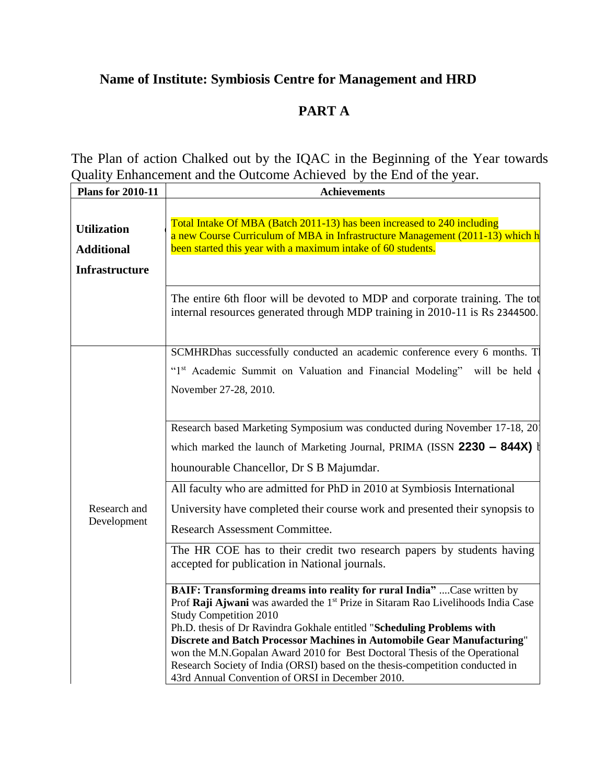# **Name of Institute: Symbiosis Centre for Management and HRD**

# **PART A**

The Plan of action Chalked out by the IQAC in the Beginning of the Year towards Quality Enhancement and the Outcome Achieved by the End of the year.

| <b>Plans for 2010-11</b>                                         | <b>Achievements</b>                                                                                                                                                                                                                                                                                                                                                                                                         |  |  |
|------------------------------------------------------------------|-----------------------------------------------------------------------------------------------------------------------------------------------------------------------------------------------------------------------------------------------------------------------------------------------------------------------------------------------------------------------------------------------------------------------------|--|--|
| <b>Utilization</b><br><b>Additional</b><br><b>Infrastructure</b> | Total Intake Of MBA (Batch 2011-13) has been increased to 240 including<br>a new Course Curriculum of MBA in Infrastructure Management (2011-13) which h<br>been started this year with a maximum intake of 60 students.                                                                                                                                                                                                    |  |  |
|                                                                  | The entire 6th floor will be devoted to MDP and corporate training. The tot<br>internal resources generated through MDP training in 2010-11 is Rs 2344500.                                                                                                                                                                                                                                                                  |  |  |
|                                                                  | SCMHRDhas successfully conducted an academic conference every 6 months. T<br>"1st Academic Summit on Valuation and Financial Modeling" will be held<br>November 27-28, 2010.                                                                                                                                                                                                                                                |  |  |
|                                                                  | Research based Marketing Symposium was conducted during November 17-18, 20<br>which marked the launch of Marketing Journal, PRIMA (ISSN 2230 - 844X) I<br>hounourable Chancellor, Dr S B Majumdar.<br>All faculty who are admitted for PhD in 2010 at Symbiosis International                                                                                                                                               |  |  |
| Research and<br>Development                                      | University have completed their course work and presented their synopsis to<br><b>Research Assessment Committee.</b><br>The HR COE has to their credit two research papers by students having<br>accepted for publication in National journals.<br>BAIF: Transforming dreams into reality for rural India"  Case written by<br>Prof Raji Ajwani was awarded the 1 <sup>st</sup> Prize in Sitaram Rao Livelihoods India Case |  |  |
|                                                                  | <b>Study Competition 2010</b><br>Ph.D. thesis of Dr Ravindra Gokhale entitled "Scheduling Problems with<br>Discrete and Batch Processor Machines in Automobile Gear Manufacturing"<br>won the M.N.Gopalan Award 2010 for Best Doctoral Thesis of the Operational<br>Research Society of India (ORSI) based on the thesis-competition conducted in<br>43rd Annual Convention of ORSI in December 2010.                       |  |  |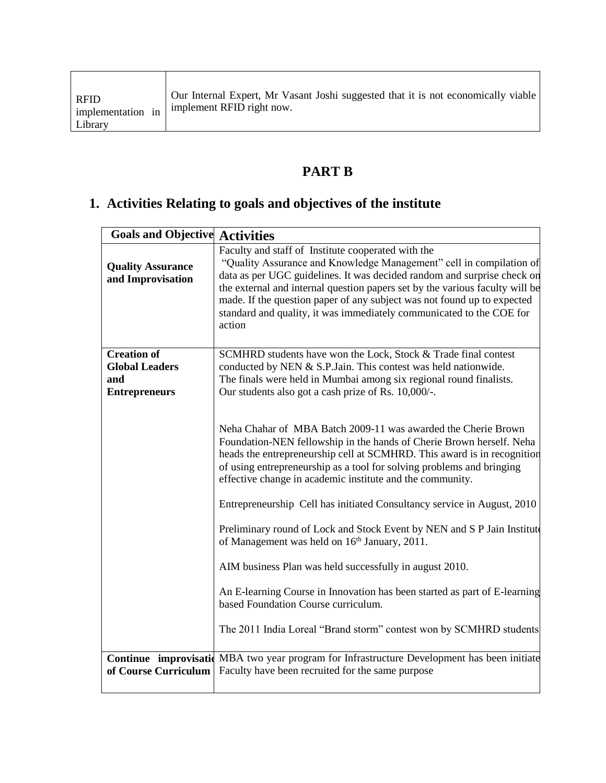| <b>RFID</b><br>implementation in<br>Library | Our Internal Expert, Mr Vasant Joshi suggested that it is not economically viable<br>implement RFID right now. |
|---------------------------------------------|----------------------------------------------------------------------------------------------------------------|
|---------------------------------------------|----------------------------------------------------------------------------------------------------------------|

# **PART B**

# **1. Activities Relating to goals and objectives of the institute**

| <b>Goals and Objective Activities</b>                                      |                                                                                                                                                                                                                                                                                                                                                                                                                                                   |
|----------------------------------------------------------------------------|---------------------------------------------------------------------------------------------------------------------------------------------------------------------------------------------------------------------------------------------------------------------------------------------------------------------------------------------------------------------------------------------------------------------------------------------------|
| <b>Quality Assurance</b><br>and Improvisation                              | Faculty and staff of Institute cooperated with the<br>"Quality Assurance and Knowledge Management" cell in compilation of<br>data as per UGC guidelines. It was decided random and surprise check on<br>the external and internal question papers set by the various faculty will be<br>made. If the question paper of any subject was not found up to expected<br>standard and quality, it was immediately communicated to the COE for<br>action |
| <b>Creation of</b><br><b>Global Leaders</b><br>and<br><b>Entrepreneurs</b> | SCMHRD students have won the Lock, Stock & Trade final contest<br>conducted by NEN & S.P.Jain. This contest was held nationwide.<br>The finals were held in Mumbai among six regional round finalists.<br>Our students also got a cash prize of Rs. 10,000/-.                                                                                                                                                                                     |
|                                                                            | Neha Chahar of MBA Batch 2009-11 was awarded the Cherie Brown<br>Foundation-NEN fellowship in the hands of Cherie Brown herself. Neha<br>heads the entrepreneurship cell at SCMHRD. This award is in recognition<br>of using entrepreneurship as a tool for solving problems and bringing<br>effective change in academic institute and the community.                                                                                            |
|                                                                            | Entrepreneurship Cell has initiated Consultancy service in August, 2010                                                                                                                                                                                                                                                                                                                                                                           |
|                                                                            | Preliminary round of Lock and Stock Event by NEN and S P Jain Institute<br>of Management was held on 16 <sup>th</sup> January, 2011.                                                                                                                                                                                                                                                                                                              |
|                                                                            | AIM business Plan was held successfully in august 2010.                                                                                                                                                                                                                                                                                                                                                                                           |
|                                                                            | An E-learning Course in Innovation has been started as part of E-learning<br>based Foundation Course curriculum.                                                                                                                                                                                                                                                                                                                                  |
|                                                                            | The 2011 India Loreal "Brand storm" contest won by SCMHRD students                                                                                                                                                                                                                                                                                                                                                                                |
| of Course Curriculum                                                       | <b>Continue improvisation</b> MBA two year program for Infrastructure Development has been initiate<br>Faculty have been recruited for the same purpose                                                                                                                                                                                                                                                                                           |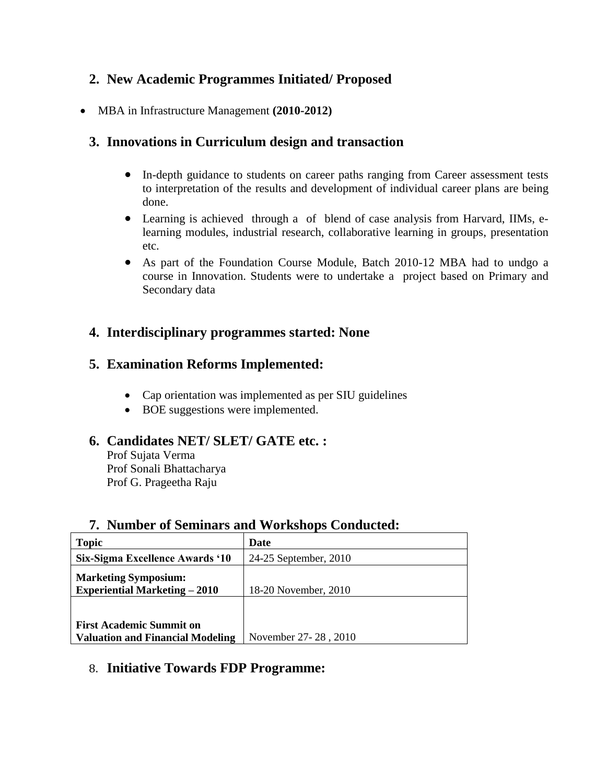# **2. New Academic Programmes Initiated/ Proposed**

MBA in Infrastructure Management **(2010-2012)**

# **3. Innovations in Curriculum design and transaction**

- In-depth guidance to students on career paths ranging from Career assessment tests to interpretation of the results and development of individual career plans are being done.
- Learning is achieved through a of blend of case analysis from Harvard, IIMs, elearning modules, industrial research, collaborative learning in groups, presentation etc.
- As part of the Foundation Course Module, Batch 2010-12 MBA had to undgo a course in Innovation. Students were to undertake a project based on Primary and Secondary data

# **4. Interdisciplinary programmes started: None**

# **5. Examination Reforms Implemented:**

- Cap orientation was implemented as per SIU guidelines
- BOE suggestions were implemented.

# **6. Candidates NET/ SLET/ GATE etc. :**

Prof Sujata Verma Prof Sonali Bhattacharya Prof G. Prageetha Raju

| <b>Topic</b>                                                               | Date                  |
|----------------------------------------------------------------------------|-----------------------|
| Six-Sigma Excellence Awards '10                                            | 24-25 September, 2010 |
| <b>Marketing Symposium:</b><br><b>Experiential Marketing – 2010</b>        | 18-20 November, 2010  |
|                                                                            |                       |
| <b>First Academic Summit on</b><br><b>Valuation and Financial Modeling</b> | November 27-28, 2010  |

# **7. Number of Seminars and Workshops Conducted:**

# 8. **Initiative Towards FDP Programme:**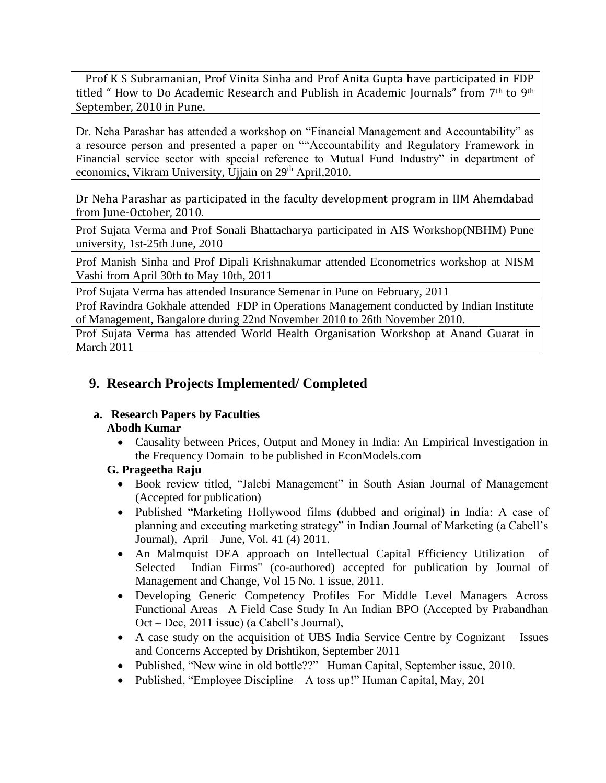Prof K S Subramanian, Prof Vinita Sinha and Prof Anita Gupta have participated in FDP titled " How to Do Academic Research and Publish in Academic Journals" from 7th to 9th September, 2010 in Pune.

Dr. Neha Parashar has attended a workshop on "Financial Management and Accountability" as a resource person and presented a paper on ""Accountability and Regulatory Framework in Financial service sector with special reference to Mutual Fund Industry" in department of economics, Vikram University, Ujjain on 29<sup>th</sup> April, 2010.

Dr Neha Parashar as participated in the faculty development program in IIM Ahemdabad from June-October, 2010.

Prof Sujata Verma and Prof Sonali Bhattacharya participated in AIS Workshop(NBHM) Pune university, 1st-25th June, 2010

Prof Manish Sinha and Prof Dipali Krishnakumar attended Econometrics workshop at NISM Vashi from April 30th to May 10th, 2011

Prof Sujata Verma has attended Insurance Semenar in Pune on February, 2011

Prof Ravindra Gokhale attended FDP in Operations Management conducted by Indian Institute of Management, Bangalore during 22nd November 2010 to 26th November 2010.

Prof Sujata Verma has attended World Health Organisation Workshop at Anand Guarat in March 2011

# **9. Research Projects Implemented/ Completed**

#### **a. Research Papers by Faculties Abodh Kumar**

 Causality between Prices, Output and Money in India: An Empirical Investigation in the Frequency Domain to be published in EconModels.com

## **G. Prageetha Raju**

- Book review titled, "Jalebi Management" in South Asian Journal of Management (Accepted for publication)
- Published "Marketing Hollywood films (dubbed and original) in India: A case of planning and executing marketing strategy" in Indian Journal of Marketing (a Cabell's Journal), April – June, Vol. 41 (4) 2011.
- An Malmquist DEA approach on Intellectual Capital Efficiency Utilization of Selected Indian Firms" (co-authored) accepted for publication by Journal of Management and Change, Vol 15 No. 1 issue, 2011.
- Developing Generic Competency Profiles For Middle Level Managers Across Functional Areas– A Field Case Study In An Indian BPO (Accepted by Prabandhan Oct – Dec, 2011 issue) (a Cabell's Journal),
- A case study on the acquisition of UBS India Service Centre by Cognizant Issues and Concerns Accepted by Drishtikon, September 2011
- Published, "New wine in old bottle??" Human Capital, September issue, 2010.
- Published, "Employee Discipline A toss up!" Human Capital, May, 201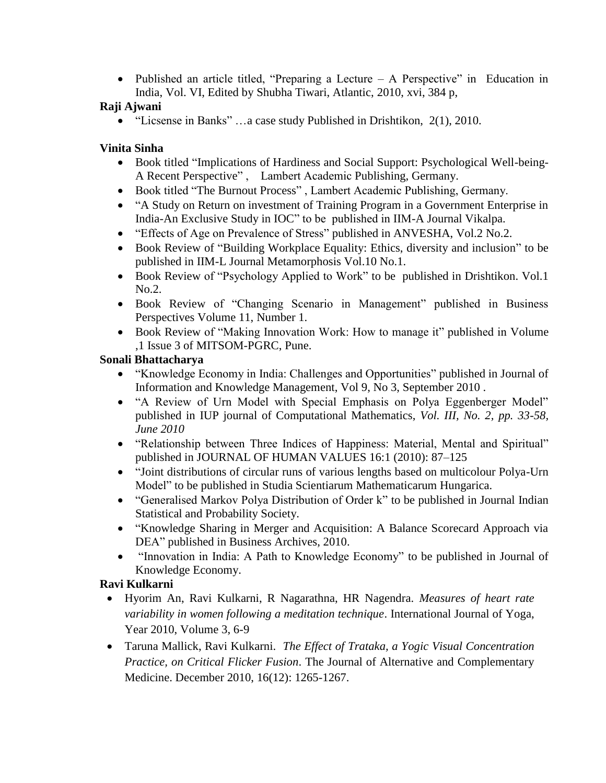• Published an article titled, "Preparing a Lecture – A Perspective" in Education in India, Vol. VI, Edited by Shubha Tiwari, Atlantic, 2010, xvi, 384 p,

## **Raji Ajwani**

"Licsense in Banks" …a case study Published in Drishtikon, 2(1), 2010.

## **Vinita Sinha**

- Book titled "Implications of Hardiness and Social Support: Psychological Well-being-A Recent Perspective" , Lambert Academic Publishing, Germany.
- Book titled "The Burnout Process" , Lambert Academic Publishing, Germany.
- "A Study on Return on investment of Training Program in a Government Enterprise in India-An Exclusive Study in IOC" to be published in IIM-A Journal Vikalpa.
- "Effects of Age on Prevalence of Stress" published in ANVESHA, Vol.2 No.2.
- Book Review of "Building Workplace Equality: Ethics, diversity and inclusion" to be published in IIM-L Journal Metamorphosis Vol.10 No.1.
- Book Review of "Psychology Applied to Work" to be published in Drishtikon. Vol.1 No.2.
- Book Review of "Changing Scenario in Management" published in Business Perspectives Volume 11, Number 1.
- Book Review of "Making Innovation Work: How to manage it" published in Volume ,1 Issue 3 of MITSOM-PGRC, Pune.

## **Sonali Bhattacharya**

- "Knowledge Economy in India: Challenges and Opportunities" published in Journal of Information and Knowledge Management, Vol 9, No 3, September 2010 .
- "A Review of Urn Model with Special Emphasis on Polya Eggenberger Model" published in IUP journal of Computational Mathematics, *Vol. III, No. 2, pp. 33-58, June 2010*
- "Relationship between Three Indices of Happiness: Material, Mental and Spiritual" published in JOURNAL OF HUMAN VALUES 16:1 (2010): 87–125
- "Joint distributions of circular runs of various lengths based on multicolour Polya-Urn Model" to be published in Studia Scientiarum Mathematicarum Hungarica.
- "Generalised Markov Polya Distribution of Order k" to be published in Journal Indian Statistical and Probability Society.
- "Knowledge Sharing in Merger and Acquisition: A Balance Scorecard Approach via DEA" published in Business Archives, 2010.
- "Innovation in India: A Path to Knowledge Economy" to be published in Journal of Knowledge Economy.

## **Ravi Kulkarni**

- Hyorim An, Ravi Kulkarni, R Nagarathna, HR Nagendra. *Measures of heart rate variability in women following a meditation technique*. International Journal of Yoga, Year 2010, Volume 3, 6-9
- Taruna Mallick, Ravi Kulkarni. *The Effect of Trataka, a Yogic Visual Concentration Practice, on Critical Flicker Fusion*. The Journal of Alternative and Complementary Medicine. December 2010, 16(12): 1265-1267.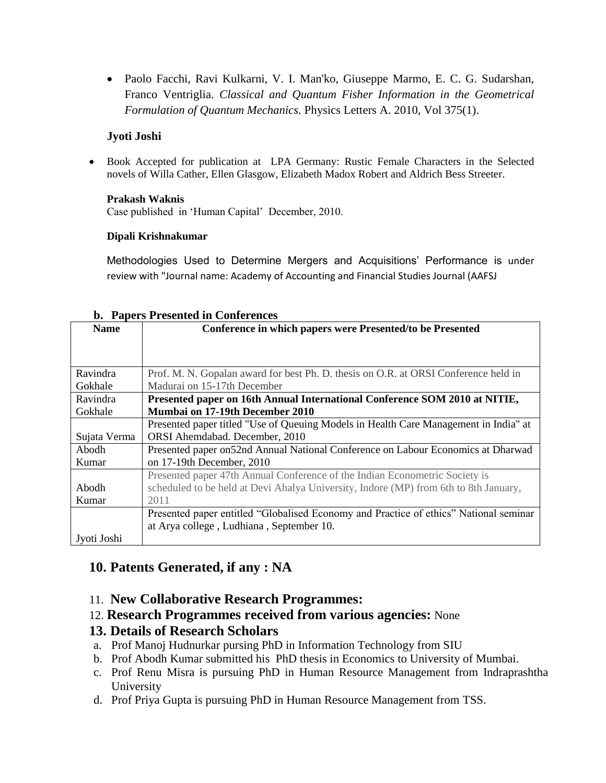Paolo Facchi, Ravi Kulkarni, V. I. Man'ko, Giuseppe Marmo, E. C. G. Sudarshan, Franco Ventriglia. *Classical and Quantum Fisher Information in the Geometrical Formulation of Quantum Mechanics*. Physics Letters A. 2010, Vol 375(1).

#### **Jyoti Joshi**

 Book Accepted for publication at LPA Germany: Rustic Female Characters in the Selected novels of Willa Cather, Ellen Glasgow, Elizabeth Madox Robert and Aldrich Bess Streeter.

#### **Prakash Waknis**

Case published in 'Human Capital' December, 2010.

#### **Dipali Krishnakumar**

Methodologies Used to Determine Mergers and Acquisitions' Performance is under review with "Journal name: Academy of Accounting and Financial Studies Journal (AAFSJ

|              | D. Tapels I resented in Conterences                                                   |
|--------------|---------------------------------------------------------------------------------------|
| <b>Name</b>  | Conference in which papers were Presented/to be Presented                             |
|              |                                                                                       |
|              |                                                                                       |
|              |                                                                                       |
| Ravindra     | Prof. M. N. Gopalan award for best Ph. D. thesis on O.R. at ORSI Conference held in   |
| Gokhale      | Madurai on 15-17th December                                                           |
| Ravindra     | Presented paper on 16th Annual International Conference SOM 2010 at NITIE,            |
| Gokhale      | Mumbai on 17-19th December 2010                                                       |
|              | Presented paper titled "Use of Queuing Models in Health Care Management in India" at  |
| Sujata Verma | ORSI Ahemdabad. December, 2010                                                        |
| Abodh        | Presented paper on 52nd Annual National Conference on Labour Economics at Dharwad     |
| Kumar        | on 17-19th December, 2010                                                             |
|              | Presented paper 47th Annual Conference of the Indian Econometric Society is           |
| Abodh        | scheduled to be held at Devi Ahalya University, Indore (MP) from 6th to 8th January,  |
| Kumar        | 2011                                                                                  |
|              | Presented paper entitled "Globalised Economy and Practice of ethics" National seminar |
|              | at Arya college, Ludhiana, September 10.                                              |
| Jyoti Joshi  |                                                                                       |

#### **b. Papers Presented in Conferences**

# **10. Patents Generated, if any : NA**

#### 11. **New Collaborative Research Programmes:**

12. **Research Programmes received from various agencies:** None

## **13. Details of Research Scholars**

- a. Prof Manoj Hudnurkar pursing PhD in Information Technology from SIU
- b. Prof Abodh Kumar submitted his PhD thesis in Economics to University of Mumbai.
- c. Prof Renu Misra is pursuing PhD in Human Resource Management from Indraprashtha University
- d. Prof Priya Gupta is pursuing PhD in Human Resource Management from TSS.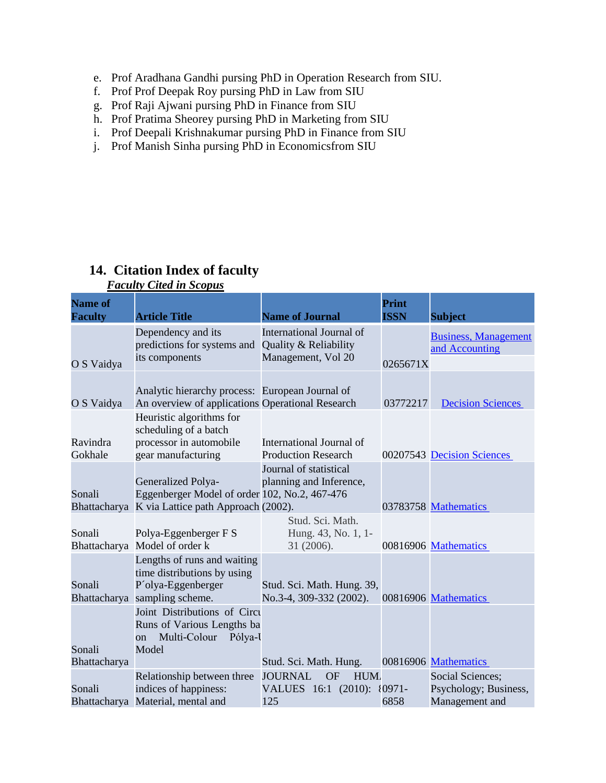- e. Prof Aradhana Gandhi pursing PhD in Operation Research from SIU.
- f. Prof Prof Deepak Roy pursing PhD in Law from SIU
- g. Prof Raji Ajwani pursing PhD in Finance from SIU
- h. Prof Pratima Sheorey pursing PhD in Marketing from SIU
- i. Prof Deepali Krishnakumar pursing PhD in Finance from SIU
- j. Prof Manish Sinha pursing PhD in Economicsfrom SIU

# **14. Citation Index of faculty**

| <b>Name of</b><br><b>Faculty</b> | <b>Article Title</b>                                                                                                    | <b>Name of Journal</b>                                                                                   | Print<br><b>ISSN</b> | <b>Subject</b>                                                     |
|----------------------------------|-------------------------------------------------------------------------------------------------------------------------|----------------------------------------------------------------------------------------------------------|----------------------|--------------------------------------------------------------------|
| O S Vaidya                       | Dependency and its<br>predictions for systems and<br>its components                                                     | International Journal of<br>Quality & Reliability<br>Management, Vol 20                                  | 0265671X             | <b>Business, Management</b><br>and Accounting                      |
| O S Vaidya                       | Analytic hierarchy process: European Journal of<br>An overview of applications Operational Research                     |                                                                                                          | 03772217             | <b>Decision Sciences</b>                                           |
| Ravindra<br>Gokhale              | Heuristic algorithms for<br>scheduling of a batch<br>processor in automobile<br>gear manufacturing                      | International Journal of<br><b>Production Research</b>                                                   |                      | 00207543 Decision Sciences                                         |
| Sonali                           | Generalized Polya-<br>Eggenberger Model of order 102, No.2, 467-476<br>Bhattacharya K via Lattice path Approach (2002). | Journal of statistical<br>planning and Inference,                                                        |                      | 03783758 Mathematics                                               |
| Sonali<br>Bhattacharya           | Polya-Eggenberger F S<br>Model of order k                                                                               | Stud. Sci. Math.<br>Hung. 43, No. 1, 1-<br>31 (2006).                                                    |                      | 00816906 Mathematics                                               |
| Sonali<br>Bhattacharya           | Lengths of runs and waiting<br>time distributions by using<br>P'olya-Eggenberger<br>sampling scheme.                    | Stud. Sci. Math. Hung. 39,<br>No.3-4, 309-332 (2002).                                                    |                      | 00816906 Mathematics                                               |
| Sonali                           | Joint Distributions of Circu<br>Runs of Various Lengths ba<br>Multi-Colour<br>Pólya-U<br><sub>on</sub><br>Model         |                                                                                                          |                      | 00816906 Mathematics                                               |
| Bhattacharya<br>Sonali           | Relationship between three<br>indices of happiness:<br>Bhattacharya Material, mental and                                | Stud. Sci. Math. Hung.<br><b>JOURNAL</b><br><b>HUM</b><br><b>OF</b><br>VALUES 16:1 (2010): {0971-<br>125 | 6858                 | <b>Social Sciences;</b><br>Psychology; Business,<br>Management and |

# *Faculty Cited in Scopus*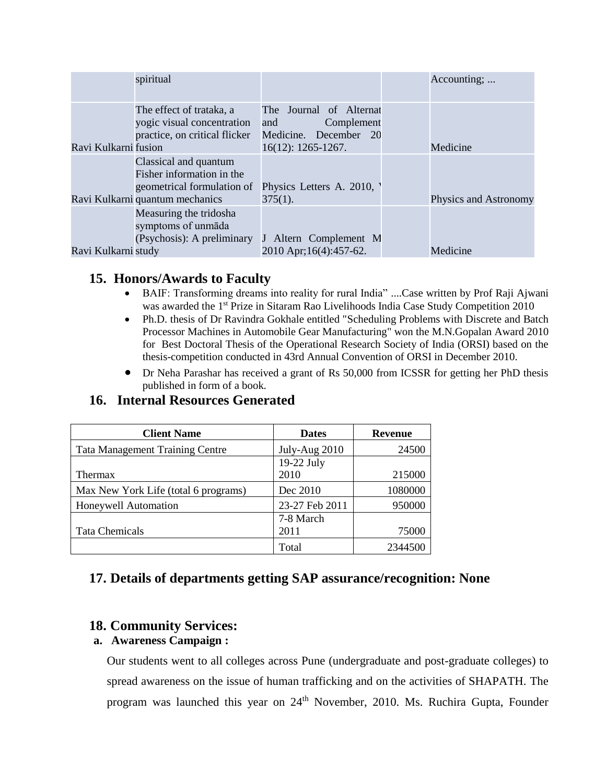|                      | spiritual                                                                                                           |                                                                                                 | Accounting;           |
|----------------------|---------------------------------------------------------------------------------------------------------------------|-------------------------------------------------------------------------------------------------|-----------------------|
| Ravi Kulkarni fusion | The effect of trataka, a<br>yogic visual concentration<br>practice, on critical flicker                             | The Journal of Alternat<br>Complement<br>and<br>Medicine. December 20<br>$16(12): 1265 - 1267.$ | Medicine              |
|                      | Classical and quantum<br>Fisher information in the<br>geometrical formulation of<br>Ravi Kulkarni quantum mechanics | Physics Letters A. 2010,<br>$375(1)$ .                                                          | Physics and Astronomy |
| Ravi Kulkarni study  | Measuring the tridosha<br>symptoms of unmāda<br>(Psychosis): A preliminary                                          | J Altern Complement M<br>2010 Apr; 16(4): 457-62.                                               | Medicine              |

## **15. Honors/Awards to Faculty**

- BAIF: Transforming dreams into reality for rural India" ....Case written by Prof Raji Ajwani was awarded the 1<sup>st</sup> Prize in Sitaram Rao Livelihoods India Case Study Competition 2010
- Ph.D. thesis of Dr Ravindra Gokhale entitled "Scheduling Problems with Discrete and Batch Processor Machines in Automobile Gear Manufacturing" won the M.N.Gopalan Award 2010 for Best Doctoral Thesis of the Operational Research Society of India (ORSI) based on the thesis-competition conducted in 43rd Annual Convention of ORSI in December 2010.
- Dr Neha Parashar has received a grant of Rs 50,000 from ICSSR for getting her PhD thesis published in form of a book.

## **16. Internal Resources Generated**

| <b>Client Name</b>                     | <b>Dates</b>   | <b>Revenue</b> |
|----------------------------------------|----------------|----------------|
| <b>Tata Management Training Centre</b> | July-Aug 2010  | 24500          |
|                                        | 19-22 July     |                |
| Thermax                                | 2010           | 215000         |
| Max New York Life (total 6 programs)   | Dec 2010       | 1080000        |
| Honeywell Automation                   | 23-27 Feb 2011 | 950000         |
|                                        | 7-8 March      |                |
| <b>Tata Chemicals</b>                  | 2011           | 75000          |
|                                        | Total          | 2344500        |

# **17. Details of departments getting SAP assurance/recognition: None**

## **18. Community Services:**

#### **a. Awareness Campaign :**

Our students went to all colleges across Pune (undergraduate and post-graduate colleges) to spread awareness on the issue of human trafficking and on the activities of SHAPATH. The program was launched this year on 24<sup>th</sup> November, 2010. Ms. Ruchira Gupta, Founder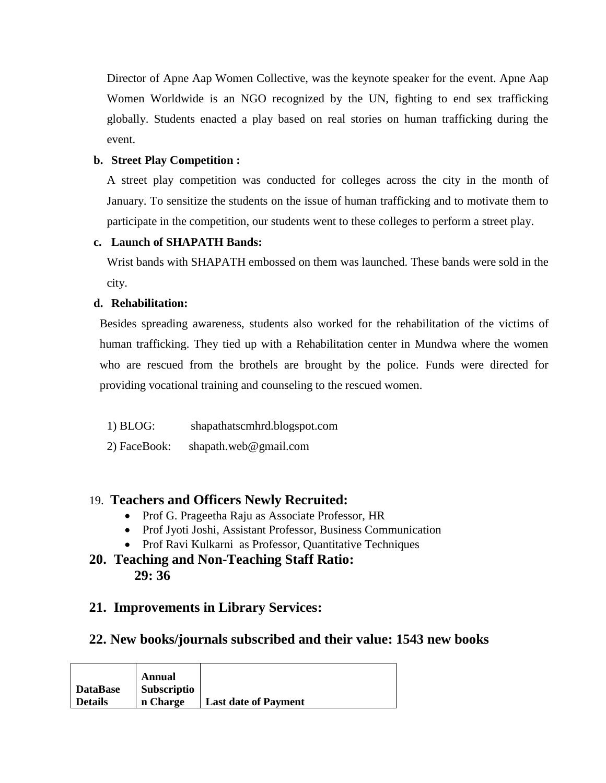Director of Apne Aap Women Collective, was the keynote speaker for the event. Apne Aap Women Worldwide is an NGO recognized by the UN, fighting to end sex trafficking globally. Students enacted a play based on real stories on human trafficking during the event.

#### **b. Street Play Competition :**

A street play competition was conducted for colleges across the city in the month of January. To sensitize the students on the issue of human trafficking and to motivate them to participate in the competition, our students went to these colleges to perform a street play.

## **c. Launch of SHAPATH Bands:**

Wrist bands with SHAPATH embossed on them was launched. These bands were sold in the city.

#### **d. Rehabilitation:**

Besides spreading awareness, students also worked for the rehabilitation of the victims of human trafficking. They tied up with a Rehabilitation center in Mundwa where the women who are rescued from the brothels are brought by the police. Funds were directed for providing vocational training and counseling to the rescued women.

- 1) BLOG: shapathatscmhrd.blogspot.com
- 2) FaceBook: shapath.web@gmail.com

# 19. **Teachers and Officers Newly Recruited:**

- Prof G. Prageetha Raju as Associate Professor, HR
- Prof Jyoti Joshi, Assistant Professor, Business Communication
- Prof Ravi Kulkarni as Professor, Quantitative Techniques
- **20. Teaching and Non-Teaching Staff Ratio: 29: 36**

# **21. Improvements in Library Services:**

## **22. New books/journals subscribed and their value: 1543 new books**

|          | Annual      |                             |
|----------|-------------|-----------------------------|
| DataBase | Subscriptio |                             |
| Details  | n Charge    | <b>Last date of Payment</b> |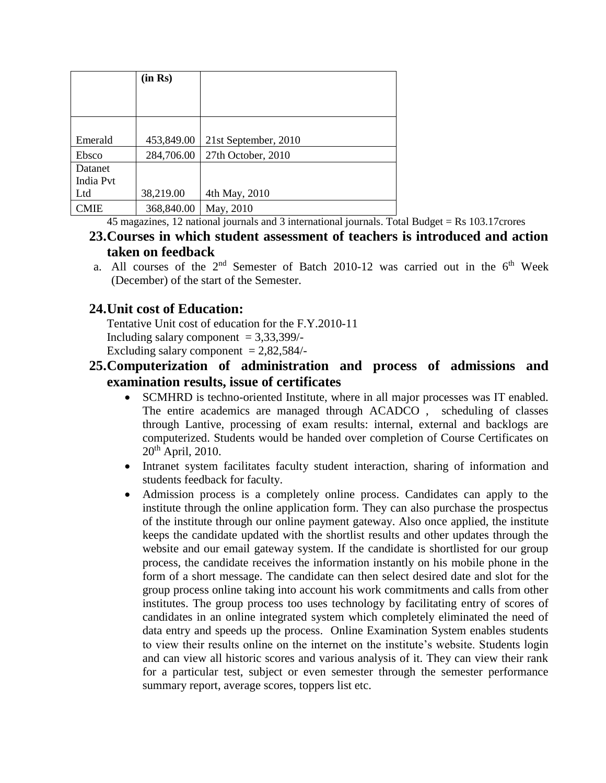|           | (in Rs)    |                      |
|-----------|------------|----------------------|
|           |            |                      |
|           |            |                      |
|           |            |                      |
| Emerald   | 453,849.00 | 21st September, 2010 |
| Ebsco     | 284,706.00 | 27th October, 2010   |
| Datanet   |            |                      |
| India Pvt |            |                      |
| Ltd       | 38,219.00  | 4th May, 2010        |
| CMIE      | 368,840.00 | May, 2010            |

45 magazines, 12 national journals and 3 international journals. Total Budget = Rs 103.17crores

# **23.Courses in which student assessment of teachers is introduced and action taken on feedback**

a. All courses of the  $2<sup>nd</sup>$  Semester of Batch 2010-12 was carried out in the  $6<sup>th</sup>$  Week (December) of the start of the Semester.

# **24.Unit cost of Education:**

Tentative Unit cost of education for the F.Y.2010-11 Including salary component  $= 3,33,399/$ -Excluding salary component  $= 2,82,584/$ -

# **25.Computerization of administration and process of admissions and examination results, issue of certificates**

- SCMHRD is techno-oriented Institute, where in all major processes was IT enabled. The entire academics are managed through ACADCO , scheduling of classes through Lantive, processing of exam results: internal, external and backlogs are computerized. Students would be handed over completion of Course Certificates on 20th April, 2010.
- Intranet system facilitates faculty student interaction, sharing of information and students feedback for faculty.
- Admission process is a completely online process. Candidates can apply to the institute through the online application form. They can also purchase the prospectus of the institute through our online payment gateway. Also once applied, the institute keeps the candidate updated with the shortlist results and other updates through the website and our email gateway system. If the candidate is shortlisted for our group process, the candidate receives the information instantly on his mobile phone in the form of a short message. The candidate can then select desired date and slot for the group process online taking into account his work commitments and calls from other institutes. The group process too uses technology by facilitating entry of scores of candidates in an online integrated system which completely eliminated the need of data entry and speeds up the process. Online Examination System enables students to view their results online on the internet on the institute's website. Students login and can view all historic scores and various analysis of it. They can view their rank for a particular test, subject or even semester through the semester performance summary report, average scores, toppers list etc.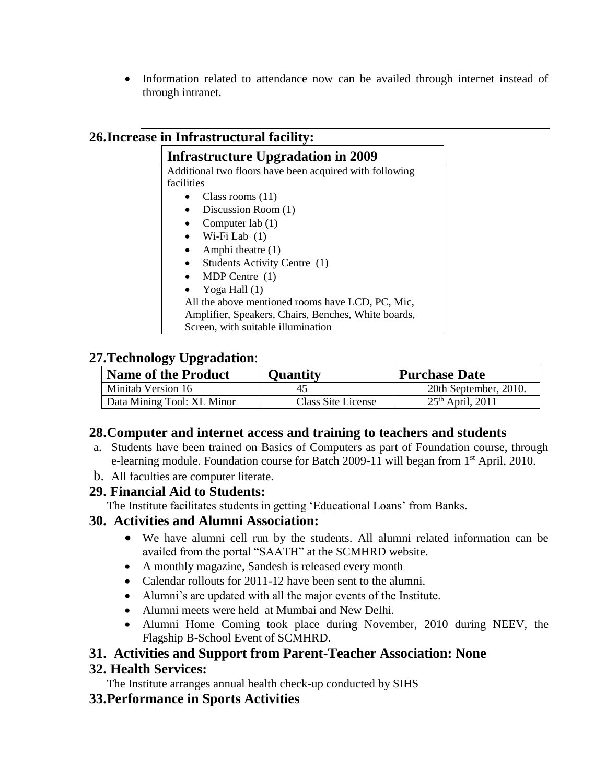• Information related to attendance now can be availed through internet instead of through intranet.

# **26.Increase in Infrastructural facility:**

| <b>Infrastructure Upgradation in 2009</b>               |  |  |  |
|---------------------------------------------------------|--|--|--|
| Additional two floors have been acquired with following |  |  |  |
| facilities                                              |  |  |  |
| Class rooms $(11)$                                      |  |  |  |
| Discussion Room (1)                                     |  |  |  |
| Computer lab $(1)$                                      |  |  |  |
| Wi-Fi Lab $(1)$<br>$\bullet$                            |  |  |  |
| Amphi theatre (1)                                       |  |  |  |
| Students Activity Centre (1)                            |  |  |  |
| MDP Centre $(1)$                                        |  |  |  |
| Yoga Hall (1)                                           |  |  |  |
| All the above mentioned rooms have LCD, PC, Mic,        |  |  |  |
| Amplifier, Speakers, Chairs, Benches, White boards,     |  |  |  |
| Screen, with suitable illumination                      |  |  |  |

# **27.Technology Upgradation**:

| <b>Name of the Product</b> | <b>Quantity</b>    | <b>Purchase Date</b>  |
|----------------------------|--------------------|-----------------------|
| Minitab Version 16         |                    | 20th September, 2010. |
| Data Mining Tool: XL Minor | Class Site License | $25th$ April, 2011    |

## **28.Computer and internet access and training to teachers and students**

- a. Students have been trained on Basics of Computers as part of Foundation course, through e-learning module. Foundation course for Batch 2009-11 will began from 1<sup>st</sup> April, 2010.
- b. All faculties are computer literate.

## **29. Financial Aid to Students:**

The Institute facilitates students in getting 'Educational Loans' from Banks.

## **30. Activities and Alumni Association:**

- We have alumni cell run by the students. All alumni related information can be availed from the portal "SAATH" at the SCMHRD website.
- A monthly magazine, Sandesh is released every month
- Calendar rollouts for 2011-12 have been sent to the alumni.
- Alumni's are updated with all the major events of the Institute.
- Alumni meets were held at Mumbai and New Delhi.
- Alumni Home Coming took place during November, 2010 during NEEV, the Flagship B-School Event of SCMHRD.

## **31. Activities and Support from Parent-Teacher Association: None**

## **32. Health Services:**

The Institute arranges annual health check-up conducted by SIHS

## **33.Performance in Sports Activities**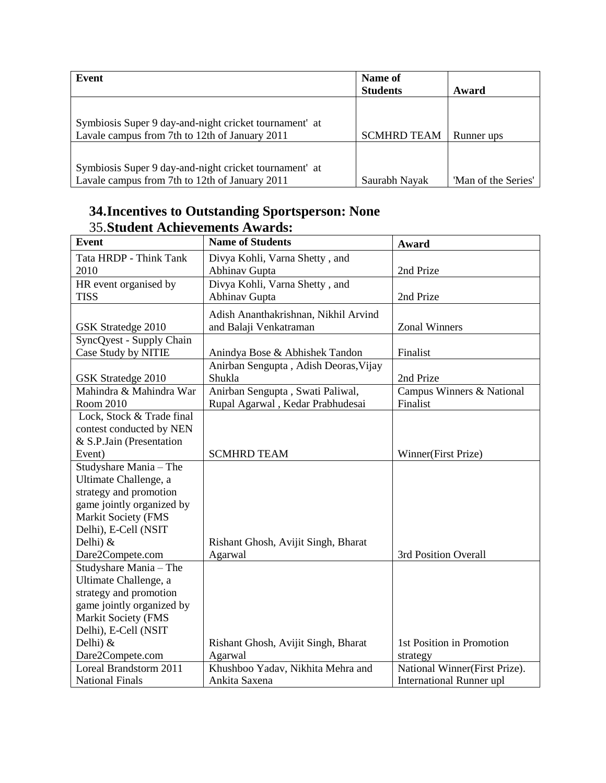| Event                                                  | Name of<br><b>Students</b> | Award               |
|--------------------------------------------------------|----------------------------|---------------------|
|                                                        |                            |                     |
|                                                        |                            |                     |
| Symbiosis Super 9 day-and-night cricket tournament at  |                            |                     |
| Lavale campus from 7th to 12th of January 2011         | <b>SCMHRD TEAM</b>         | Runner ups          |
|                                                        |                            |                     |
|                                                        |                            |                     |
| Symbiosis Super 9 day-and-night cricket tournament' at |                            |                     |
| Lavale campus from 7th to 12th of January 2011         | Saurabh Nayak              | 'Man of the Series' |

# **34.Incentives to Outstanding Sportsperson: None** 35.**Student Achievements Awards:**

| <b>Event</b>               | <b>Name of Students</b>               | Award                           |
|----------------------------|---------------------------------------|---------------------------------|
| Tata HRDP - Think Tank     | Divya Kohli, Varna Shetty, and        |                                 |
| 2010                       | Abhinav Gupta                         | 2nd Prize                       |
| HR event organised by      | Divya Kohli, Varna Shetty, and        |                                 |
| <b>TISS</b>                | <b>Abhinav Gupta</b>                  | 2nd Prize                       |
|                            | Adish Ananthakrishnan, Nikhil Arvind  |                                 |
| GSK Stratedge 2010         | and Balaji Venkatraman                | <b>Zonal Winners</b>            |
| SyncQyest - Supply Chain   |                                       |                                 |
| Case Study by NITIE        | Anindya Bose & Abhishek Tandon        | Finalist                        |
|                            | Anirban Sengupta, Adish Deoras, Vijay |                                 |
| GSK Stratedge 2010         | Shukla                                | 2nd Prize                       |
| Mahindra & Mahindra War    | Anirban Sengupta, Swati Paliwal,      | Campus Winners & National       |
| Room 2010                  | Rupal Agarwal, Kedar Prabhudesai      | Finalist                        |
| Lock, Stock & Trade final  |                                       |                                 |
| contest conducted by NEN   |                                       |                                 |
| & S.P.Jain (Presentation   |                                       |                                 |
| Event)                     | <b>SCMHRD TEAM</b>                    | Winner(First Prize)             |
| Studyshare Mania - The     |                                       |                                 |
| Ultimate Challenge, a      |                                       |                                 |
| strategy and promotion     |                                       |                                 |
| game jointly organized by  |                                       |                                 |
| <b>Markit Society (FMS</b> |                                       |                                 |
| Delhi), E-Cell (NSIT       |                                       |                                 |
| Delhi) $&$                 | Rishant Ghosh, Avijit Singh, Bharat   |                                 |
| Dare2Compete.com           | Agarwal                               | 3rd Position Overall            |
| Studyshare Mania - The     |                                       |                                 |
| Ultimate Challenge, a      |                                       |                                 |
| strategy and promotion     |                                       |                                 |
| game jointly organized by  |                                       |                                 |
| Markit Society (FMS        |                                       |                                 |
| Delhi), E-Cell (NSIT       |                                       |                                 |
| Delhi) $&$                 | Rishant Ghosh, Avijit Singh, Bharat   | 1st Position in Promotion       |
| Dare2Compete.com           | Agarwal                               | strategy                        |
| Loreal Brandstorm 2011     | Khushboo Yadav, Nikhita Mehra and     | National Winner(First Prize).   |
| <b>National Finals</b>     | Ankita Saxena                         | <b>International Runner upl</b> |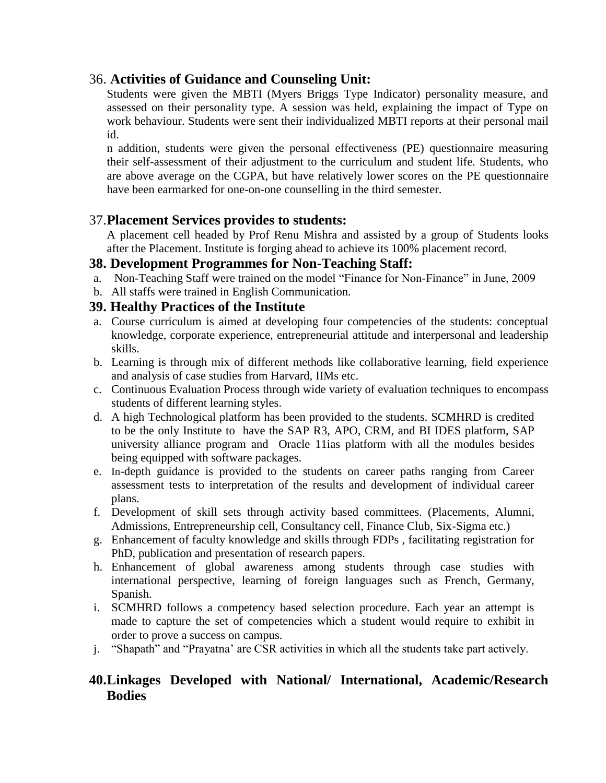## 36. **Activities of Guidance and Counseling Unit:**

Students were given the MBTI (Myers Briggs Type Indicator) personality measure, and assessed on their personality type. A session was held, explaining the impact of Type on work behaviour. Students were sent their individualized MBTI reports at their personal mail id.

n addition, students were given the personal effectiveness (PE) questionnaire measuring their self-assessment of their adjustment to the curriculum and student life. Students, who are above average on the CGPA, but have relatively lower scores on the PE questionnaire have been earmarked for one-on-one counselling in the third semester.

## 37.**Placement Services provides to students:**

A placement cell headed by Prof Renu Mishra and assisted by a group of Students looks after the Placement. Institute is forging ahead to achieve its 100% placement record.

## **38. Development Programmes for Non-Teaching Staff:**

- a. Non-Teaching Staff were trained on the model "Finance for Non-Finance" in June, 2009
- b. All staffs were trained in English Communication.

## **39. Healthy Practices of the Institute**

- a. Course curriculum is aimed at developing four competencies of the students: conceptual knowledge, corporate experience, entrepreneurial attitude and interpersonal and leadership skills.
- b. Learning is through mix of different methods like collaborative learning, field experience and analysis of case studies from Harvard, IIMs etc.
- c. Continuous Evaluation Process through wide variety of evaluation techniques to encompass students of different learning styles.
- d. A high Technological platform has been provided to the students. SCMHRD is credited to be the only Institute to have the SAP R3, APO, CRM, and BI IDES platform, SAP university alliance program and Oracle 11ias platform with all the modules besides being equipped with software packages.
- e. In-depth guidance is provided to the students on career paths ranging from Career assessment tests to interpretation of the results and development of individual career plans.
- f. Development of skill sets through activity based committees. (Placements, Alumni, Admissions, Entrepreneurship cell, Consultancy cell, Finance Club, Six-Sigma etc.)
- g. Enhancement of faculty knowledge and skills through FDPs , facilitating registration for PhD, publication and presentation of research papers.
- h. Enhancement of global awareness among students through case studies with international perspective, learning of foreign languages such as French, Germany, Spanish.
- i. SCMHRD follows a competency based selection procedure. Each year an attempt is made to capture the set of competencies which a student would require to exhibit in order to prove a success on campus.
- j. "Shapath" and "Prayatna' are CSR activities in which all the students take part actively.

## **40.Linkages Developed with National/ International, Academic/Research Bodies**